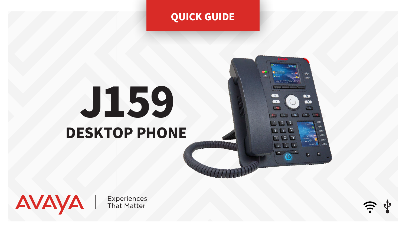## QUICK GUIDE

# J159 DESKTOP PHONE

AVAYA

**Experiences**<br>That Matter

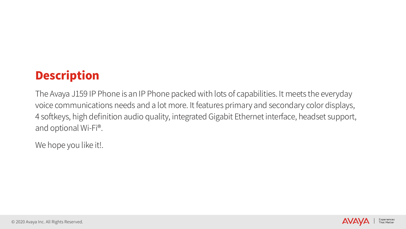

## Description

The Avaya J159 IP Phone is an IP Phone packed with lots of capabilities. It meets the everyday voice communications needs and a lot more. It features primary and secondary color displays, 4 softkeys, high definition audio quality, integrated Gigabit Ethernet interface, headset support, and optional Wi-Fi®.

We hope you like it!.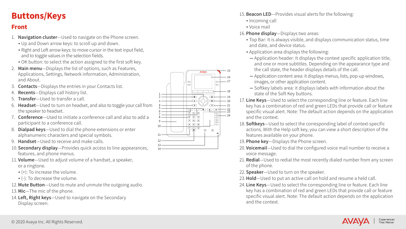15. Beacon LED—Provides visual alerts for the following:

## Buttons/Keys

### Front

- Incoming call
- Voice mail

#### 16. Phone display—Displays two areas:

▪ Top Bar: It is always visible, and displays communication status, time

▪ Application area displays the following:

─ Application header: It displays the context specific application title, and one or more subtitles. Depending on the appearance type and the call state, the header displays details of the call.

17. Line Keys-Used to select the corresponding line or feature. Each line key has a combination of red and green LEDs that provide call or feature specific visual alert. Note: The default action depends on the application

18. Softkeys-Used to select the corresponding label of context-specific actions. With the Help soft key, you can view a short description of the

20. Voicemail-Used to dial the configured voice mail number to receive a

21. Redial-Used to redial the most recently dialed number from any screen

23. Hold-Used to put an active call on hold and resume a held call.

─ Application content area: it displays menus, lists, pop-up windows, images, or other application content.

─ Softkey labels area: it displays labels with information about the

24. Line Keys-Used to select the corresponding line or feature. Each line key has a combination of red and green LEDs that provide call or feature specific visual alert. Note: The default action depends on the application



- and date, and device status.
- 
- 
- 
- state of the Soft Key buttons.
- and the context.
- features available on your phone.
- 19. Phone key-Displays the Phone screen.
- voice message.
- of the phone.
- 22. **Speaker**-Used to turn on the speaker.
- 
- and the context.
- 1. Navigation cluster-Used to navigate on the Phone screen.
	- Up and Down arrow keys: to scroll up and down.
	- . Right and Left arrow keys: to move cursor in the text input field, and to toggle values in the selection fields.
	- OK button: to select the action assigned to the first soft key.
- 2. Main menu-Displays the list of options, such as Features, Applications, Settings, Network information, Administration, and About.
- 3. Contacts—Displays the entries in your Contacts list.
- 4. Recents—Displays call history list.
- **Transfer**—Used to transfer a call.
- 6. Headset—Used to turn on headset, and also to toggle your call from the speaker to headset.
- 7. Conference—Used to initiate a conference call and also to add a participant to a conference call.
- 8. Dialpad keys-Used to dial the phone extensions or enter alphanumeric characters and special symbols.
- 9. Handset—Used to receive and make calls.
- 10. Secondary display—Provides quick access to line appearances, features, and phone menus.
- 11. Volume—Used to adjust volume of a handset, a speaker, or a ringtone.
	- $(+)$ : To increase the volume.
	- (-): To decrease the volume.
- 12. Mute Button-Used to mute and unmute the outgoing audio.
- 13. Mic-The mic of the phone.
- 14. Left, Right keys-Used to navigate on the Secondary Display screen.

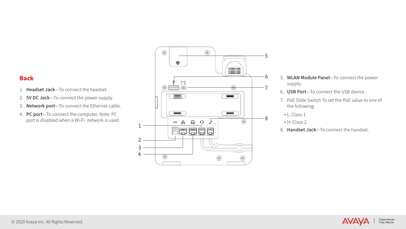#### Back

- 5. WLAN Module Panel—To connect the power supply.
- 6. USB Port—To connect the USB device.
- 7. PoE Slide Switch To set the PoE value to one of the following:
- L: Class 1
- H: Class 2
- 8. Handset Jack-To connect the handset.



- 1. Headset Jack—To connect the headset.
- 2. **5V DC Jack**-To connect the power supply.
- 3. Network port—To connect the Ethernet cable.
- 4. PC port—To connect the computer. Note: PC port is disabled when a Wi-Fi network is used.

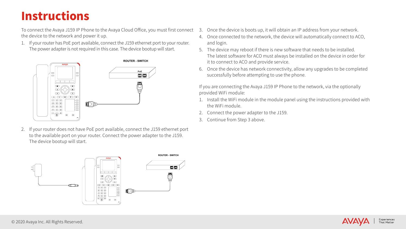To connect the Avaya J159 IP Phone to the Avaya Cloud Office, you must first connect 3. Once the device is boots up, it will obtain an IP address from your network. the device to the network and power it up.

1. If your router has PoE port available, connect the J159 ethernet port to your router. The power adapter is not required in this case. The device bootup will start.

2. If your router does not have PoE port available, connect the J159 ethernet port to the available port on your router. Connect the power adapter to the J159. The device bootup will start.





The latest software for ACO must always be installed on the device in order for

- 
- 4. Once connected to the network, the device will automatically connect to ACO, and login.
- 5. The device may reboot if there is new software that needs to be installed. it to connect to ACO and provide service.
- 6. Once the device has network connectivity, allow any upgrades to be completed successfully before attempting to use the phone.



If you are connecting the Avaya J159 IP Phone to the network, via the optionally provided WiFi module:

- 1. Install the WiFi module in the module panel using the instructions provided with the WiFi module.
- 
- 3. Continue from Step 3 above.

## Instructions